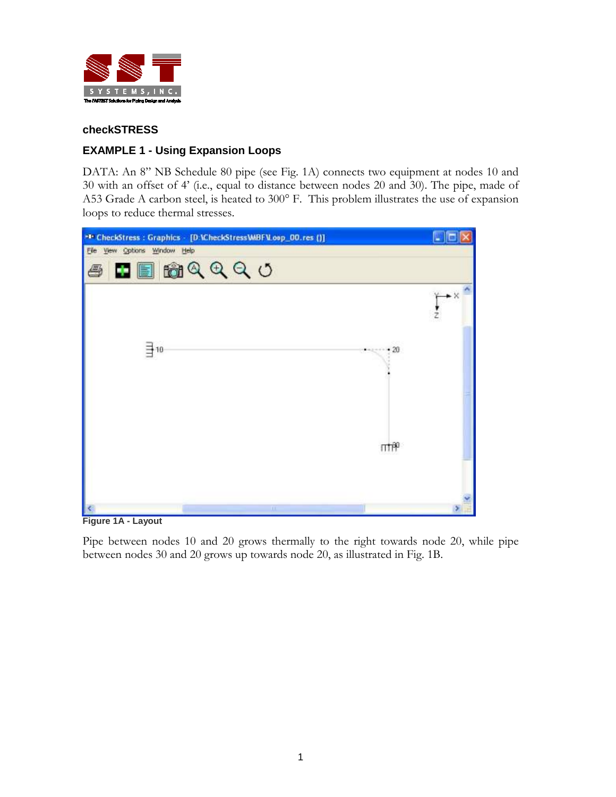

## **checkSTRESS**

## **EXAMPLE 1 - Using Expansion Loops**

DATA: An 8" NB Schedule 80 pipe (see Fig. 1A) connects two equipment at nodes 10 and 30 with an offset of 4' (i.e., equal to distance between nodes 20 and 30). The pipe, made of A53 Grade A carbon steel, is heated to 300° F. This problem illustrates the use of expansion loops to reduce thermal stresses.

| <sup>-10</sup> CheckStress: Graphics - [D:\CheckStress\MBF\Loop_00.res ()] |           | $\Box$ o  |
|----------------------------------------------------------------------------|-----------|-----------|
| View Options Window Help<br>Fie                                            |           |           |
| <b>0000000</b>                                                             |           |           |
|                                                                            |           | $\star$ X |
| 클10                                                                        | $***--20$ |           |
|                                                                            |           |           |
| m<br>m:<br>$\overline{A}$<br>л.                                            |           |           |

**Figure 1A - Layout**

Pipe between nodes 10 and 20 grows thermally to the right towards node 20, while pipe between nodes 30 and 20 grows up towards node 20, as illustrated in Fig. 1B.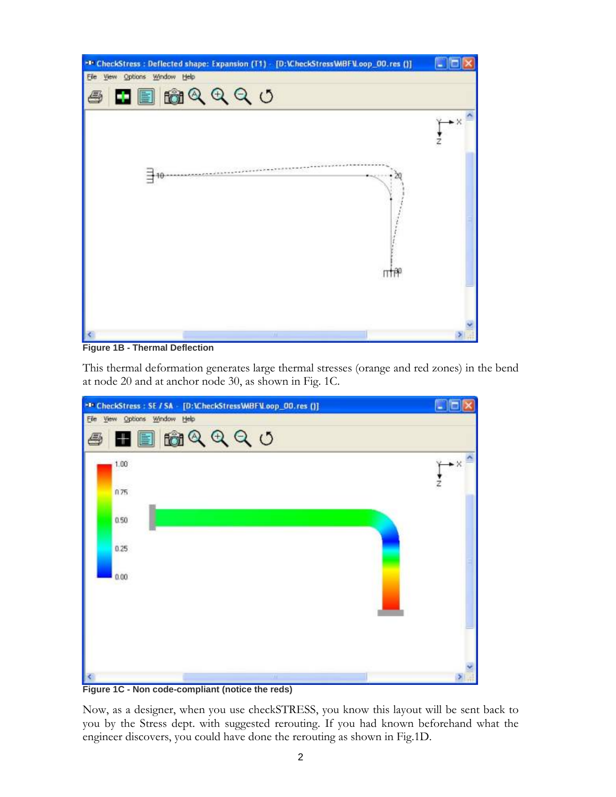

**Figure 1B - Thermal Deflection**

This thermal deformation generates large thermal stresses (orange and red zones) in the bend at node 20 and at anchor node 30, as shown in Fig. 1C.



**Figure 1C - Non code-compliant (notice the reds)**

Now, as a designer, when you use checkSTRESS, you know this layout will be sent back to you by the Stress dept. with suggested rerouting. If you had known beforehand what the engineer discovers, you could have done the rerouting as shown in Fig.1D.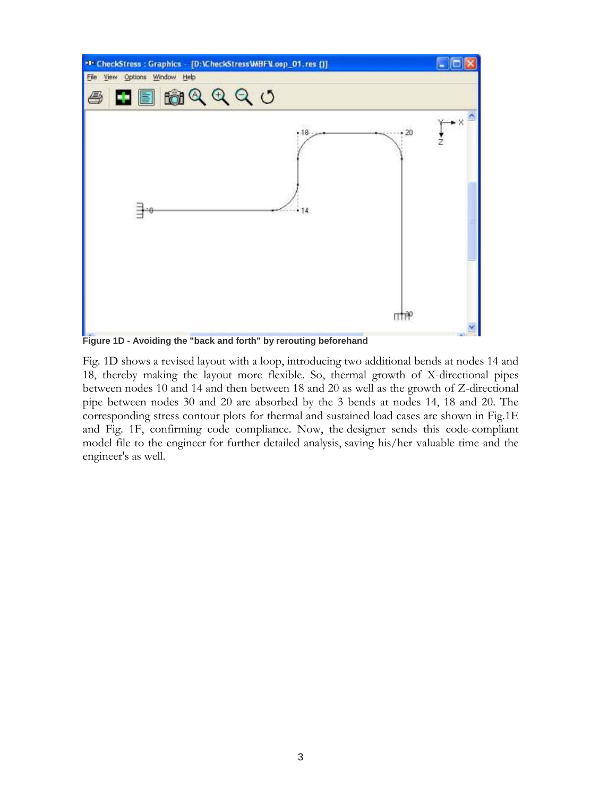

**Figure 1D - Avoiding the "back and forth" by rerouting beforehand**

Fig. 1D shows a revised layout with a loop, introducing two additional bends at nodes 14 and 18, thereby making the layout more flexible. So, thermal growth of X-directional pipes between nodes 10 and 14 and then between 18 and 20 as well as the growth of Z-directional pipe between nodes 30 and 20 are absorbed by the 3 bends at nodes 14, 18 and 20. The corresponding stress contour plots for thermal and sustained load cases are shown in Fig.1E and Fig. 1F, confirming code compliance. Now, the designer sends this code-compliant model file to the engineer for further detailed analysis, saving his/her valuable time and the engineer's as well.